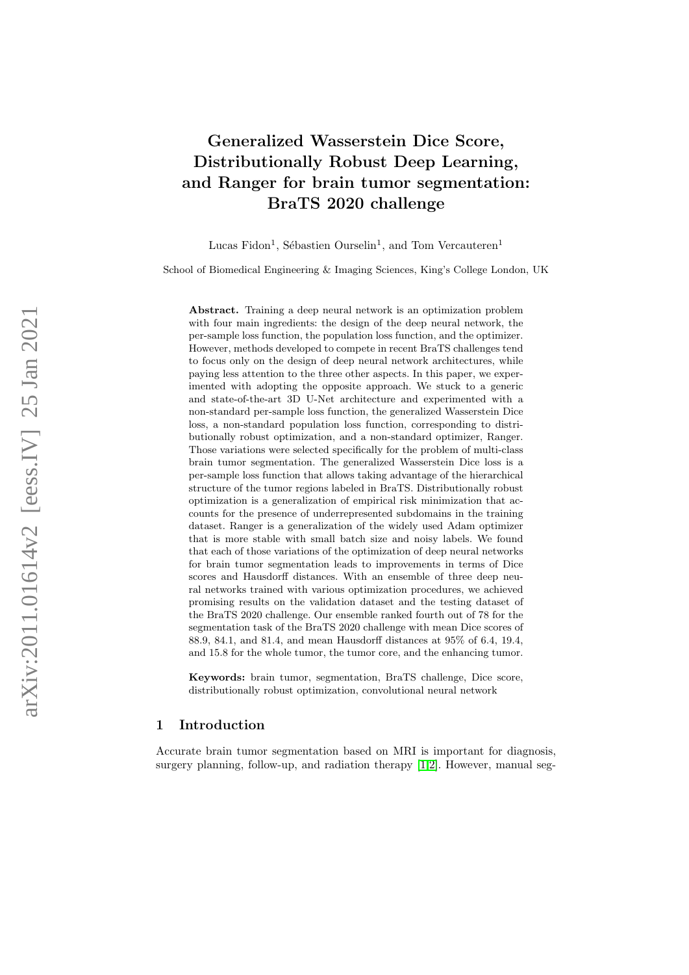# Generalized Wasserstein Dice Score, Distributionally Robust Deep Learning, and Ranger for brain tumor segmentation: BraTS 2020 challenge

Lucas Fidon<sup>1</sup>, Sébastien Ourselin<sup>1</sup>, and Tom Vercauteren<sup>1</sup>

School of Biomedical Engineering & Imaging Sciences, King's College London, UK

Abstract. Training a deep neural network is an optimization problem with four main ingredients: the design of the deep neural network, the per-sample loss function, the population loss function, and the optimizer. However, methods developed to compete in recent BraTS challenges tend to focus only on the design of deep neural network architectures, while paying less attention to the three other aspects. In this paper, we experimented with adopting the opposite approach. We stuck to a generic and state-of-the-art 3D U-Net architecture and experimented with a non-standard per-sample loss function, the generalized Wasserstein Dice loss, a non-standard population loss function, corresponding to distributionally robust optimization, and a non-standard optimizer, Ranger. Those variations were selected specifically for the problem of multi-class brain tumor segmentation. The generalized Wasserstein Dice loss is a per-sample loss function that allows taking advantage of the hierarchical structure of the tumor regions labeled in BraTS. Distributionally robust optimization is a generalization of empirical risk minimization that accounts for the presence of underrepresented subdomains in the training dataset. Ranger is a generalization of the widely used Adam optimizer that is more stable with small batch size and noisy labels. We found that each of those variations of the optimization of deep neural networks for brain tumor segmentation leads to improvements in terms of Dice scores and Hausdorff distances. With an ensemble of three deep neural networks trained with various optimization procedures, we achieved promising results on the validation dataset and the testing dataset of the BraTS 2020 challenge. Our ensemble ranked fourth out of 78 for the segmentation task of the BraTS 2020 challenge with mean Dice scores of 88 .9, 84 .1, and 81 .4, and mean Hausdorff distances at 95% of 6 .4, 19 .4, and 15 .8 for the whole tumor, the tumor core, and the enhancing tumor.

Keywords: brain tumor, segmentation, BraTS challenge, Dice score, distributionally robust optimization, convolutional neural network

## 1 Introduction

Accurate brain tumor segmentation based on MRI is important for diagnosis, surgery planning, follow-up, and radiation therapy [\[1,](#page-12-0)[2\]](#page-12-1). However, manual seg-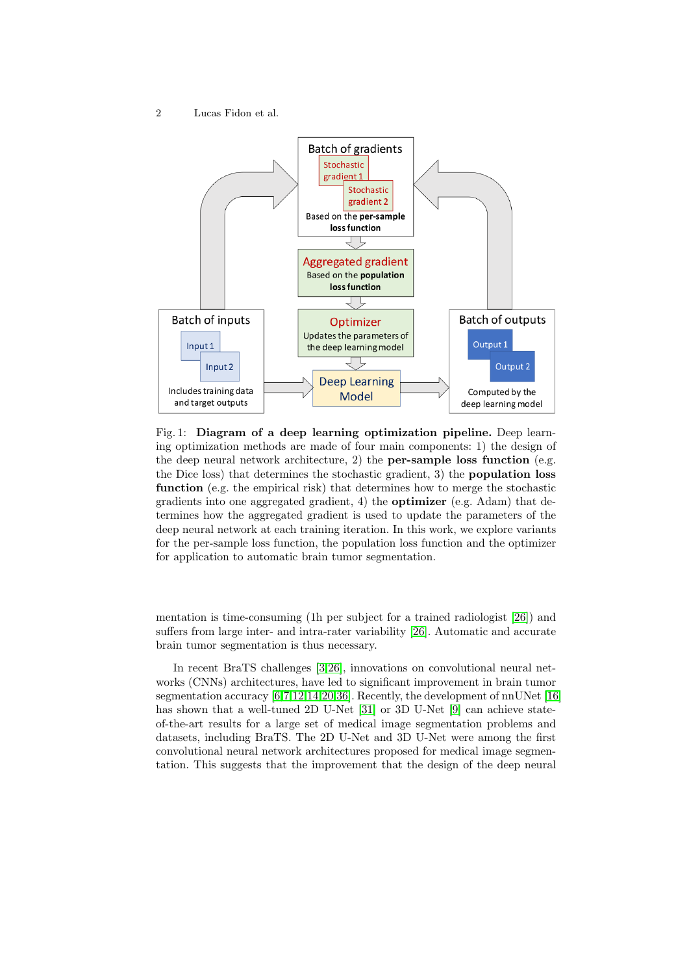<span id="page-1-0"></span>

Fig. 1: Diagram of a deep learning optimization pipeline. Deep learning optimization methods are made of four main components: 1) the design of the deep neural network architecture, 2) the per-sample loss function (e.g. the Dice loss) that determines the stochastic gradient, 3) the population loss function (e.g. the empirical risk) that determines how to merge the stochastic gradients into one aggregated gradient, 4) the optimizer (e.g. Adam) that determines how the aggregated gradient is used to update the parameters of the deep neural network at each training iteration. In this work, we explore variants for the per-sample loss function, the population loss function and the optimizer for application to automatic brain tumor segmentation.

mentation is time-consuming (1h per subject for a trained radiologist [\[26\]](#page-14-0)) and suffers from large inter- and intra-rater variability [\[26\]](#page-14-0). Automatic and accurate brain tumor segmentation is thus necessary.

In recent BraTS challenges [\[3,](#page-12-2)[26\]](#page-14-0), innovations on convolutional neural networks (CNNs) architectures, have led to significant improvement in brain tumor segmentation accuracy [\[6](#page-13-0)[,7,](#page-13-1)[12,](#page-13-2)[14](#page-13-3)[,20,](#page-14-1)[36\]](#page-15-0). Recently, the development of nnUNet [\[16\]](#page-13-4) has shown that a well-tuned 2D U-Net [\[31\]](#page-14-2) or 3D U-Net [\[9\]](#page-13-5) can achieve stateof-the-art results for a large set of medical image segmentation problems and datasets, including BraTS. The 2D U-Net and 3D U-Net were among the first convolutional neural network architectures proposed for medical image segmentation. This suggests that the improvement that the design of the deep neural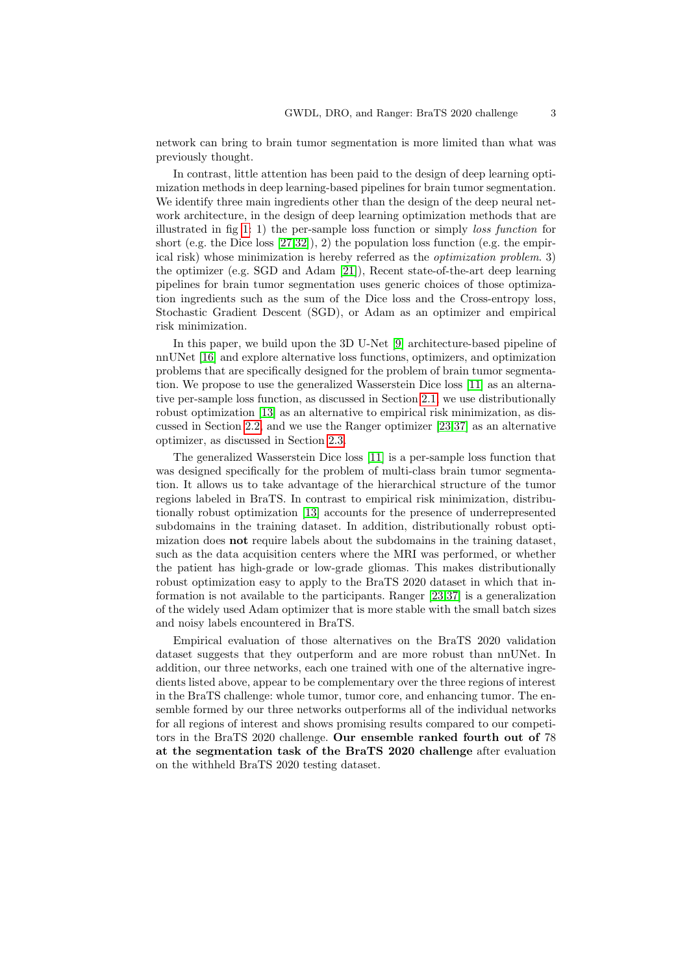network can bring to brain tumor segmentation is more limited than what was previously thought.

In contrast, little attention has been paid to the design of deep learning optimization methods in deep learning-based pipelines for brain tumor segmentation. We identify three main ingredients other than the design of the deep neural network architecture, in the design of deep learning optimization methods that are illustrated in fig [1:](#page-1-0) 1) the per-sample loss function or simply loss function for short (e.g. the Dice loss  $[27,32]$  $[27,32]$ ), 2) the population loss function (e.g. the empirical risk) whose minimization is hereby referred as the optimization problem. 3) the optimizer (e.g. SGD and Adam [\[21\]](#page-14-5)), Recent state-of-the-art deep learning pipelines for brain tumor segmentation uses generic choices of those optimization ingredients such as the sum of the Dice loss and the Cross-entropy loss, Stochastic Gradient Descent (SGD), or Adam as an optimizer and empirical risk minimization.

In this paper, we build upon the 3D U-Net [\[9\]](#page-13-5) architecture-based pipeline of nnUNet [\[16\]](#page-13-4) and explore alternative loss functions, optimizers, and optimization problems that are specifically designed for the problem of brain tumor segmentation. We propose to use the generalized Wasserstein Dice loss [\[11\]](#page-13-6) as an alternative per-sample loss function, as discussed in Section [2.1,](#page-3-0) we use distributionally robust optimization [\[13\]](#page-13-7) as an alternative to empirical risk minimization, as discussed in Section [2.2,](#page-5-0) and we use the Ranger optimizer [\[23,](#page-14-6)[37\]](#page-15-1) as an alternative optimizer, as discussed in Section [2.3.](#page-6-0)

The generalized Wasserstein Dice loss [\[11\]](#page-13-6) is a per-sample loss function that was designed specifically for the problem of multi-class brain tumor segmentation. It allows us to take advantage of the hierarchical structure of the tumor regions labeled in BraTS. In contrast to empirical risk minimization, distributionally robust optimization [\[13\]](#page-13-7) accounts for the presence of underrepresented subdomains in the training dataset. In addition, distributionally robust optimization does not require labels about the subdomains in the training dataset, such as the data acquisition centers where the MRI was performed, or whether the patient has high-grade or low-grade gliomas. This makes distributionally robust optimization easy to apply to the BraTS 2020 dataset in which that information is not available to the participants. Ranger [\[23,](#page-14-6)[37\]](#page-15-1) is a generalization of the widely used Adam optimizer that is more stable with the small batch sizes and noisy labels encountered in BraTS.

Empirical evaluation of those alternatives on the BraTS 2020 validation dataset suggests that they outperform and are more robust than nnUNet. In addition, our three networks, each one trained with one of the alternative ingredients listed above, appear to be complementary over the three regions of interest in the BraTS challenge: whole tumor, tumor core, and enhancing tumor. The ensemble formed by our three networks outperforms all of the individual networks for all regions of interest and shows promising results compared to our competitors in the BraTS 2020 challenge. Our ensemble ranked fourth out of 78 at the segmentation task of the BraTS 2020 challenge after evaluation on the withheld BraTS 2020 testing dataset.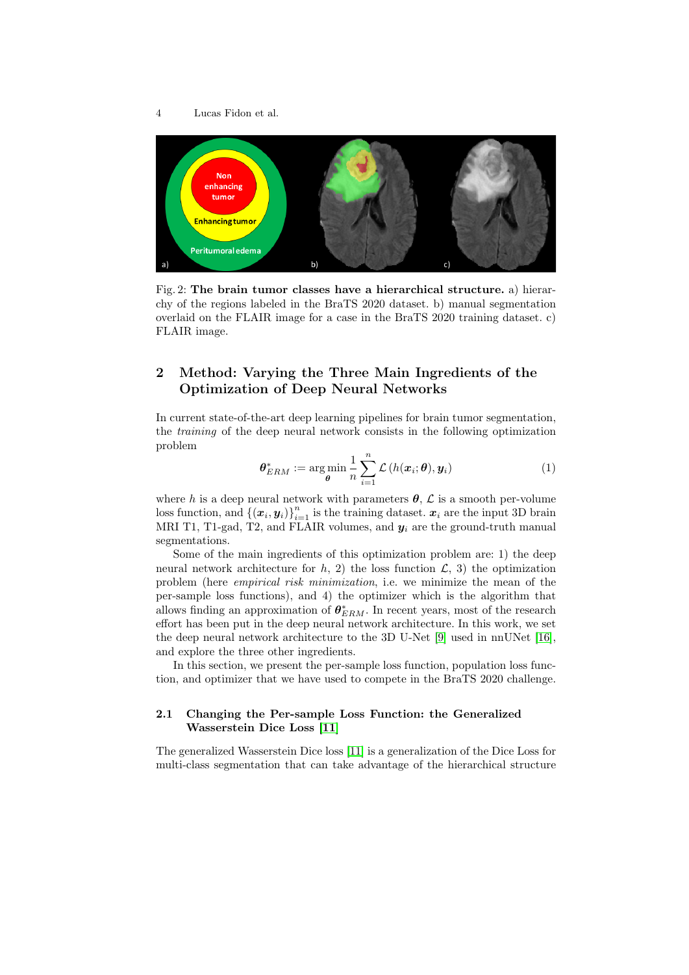<span id="page-3-1"></span>

Fig. 2: The brain tumor classes have a hierarchical structure. a) hierarchy of the regions labeled in the BraTS 2020 dataset. b) manual segmentation overlaid on the FLAIR image for a case in the BraTS 2020 training dataset. c) FLAIR image.

## 2 Method: Varying the Three Main Ingredients of the Optimization of Deep Neural Networks

In current state-of-the-art deep learning pipelines for brain tumor segmentation, the training of the deep neural network consists in the following optimization problem

$$
\boldsymbol{\theta}_{ERM}^* := \argmin_{\boldsymbol{\theta}} \frac{1}{n} \sum_{i=1}^n \mathcal{L}\left(h(\boldsymbol{x}_i; \boldsymbol{\theta}), \boldsymbol{y}_i\right) \tag{1}
$$

where h is a deep neural network with parameters  $\theta$ ,  $\mathcal{L}$  is a smooth per-volume loss function, and  $\{\left(\boldsymbol{x}_i, \boldsymbol{y}_i\right)\}_{i=1}^n$  is the training dataset.  $\boldsymbol{x}_i$  are the input 3D brain MRI T1, T1-gad, T2, and FLAIR volumes, and  $y_i$  are the ground-truth manual segmentations.

Some of the main ingredients of this optimization problem are: 1) the deep neural network architecture for h, 2) the loss function  $\mathcal{L}$ , 3) the optimization problem (here empirical risk minimization, i.e. we minimize the mean of the per-sample loss functions), and 4) the optimizer which is the algorithm that allows finding an approximation of  $\theta_{ERM}^*$ . In recent years, most of the research effort has been put in the deep neural network architecture. In this work, we set the deep neural network architecture to the 3D U-Net [\[9\]](#page-13-5) used in nnUNet [\[16\]](#page-13-4), and explore the three other ingredients.

In this section, we present the per-sample loss function, population loss function, and optimizer that we have used to compete in the BraTS 2020 challenge.

### <span id="page-3-0"></span>2.1 Changing the Per-sample Loss Function: the Generalized Wasserstein Dice Loss [\[11\]](#page-13-6)

The generalized Wasserstein Dice loss [\[11\]](#page-13-6) is a generalization of the Dice Loss for multi-class segmentation that can take advantage of the hierarchical structure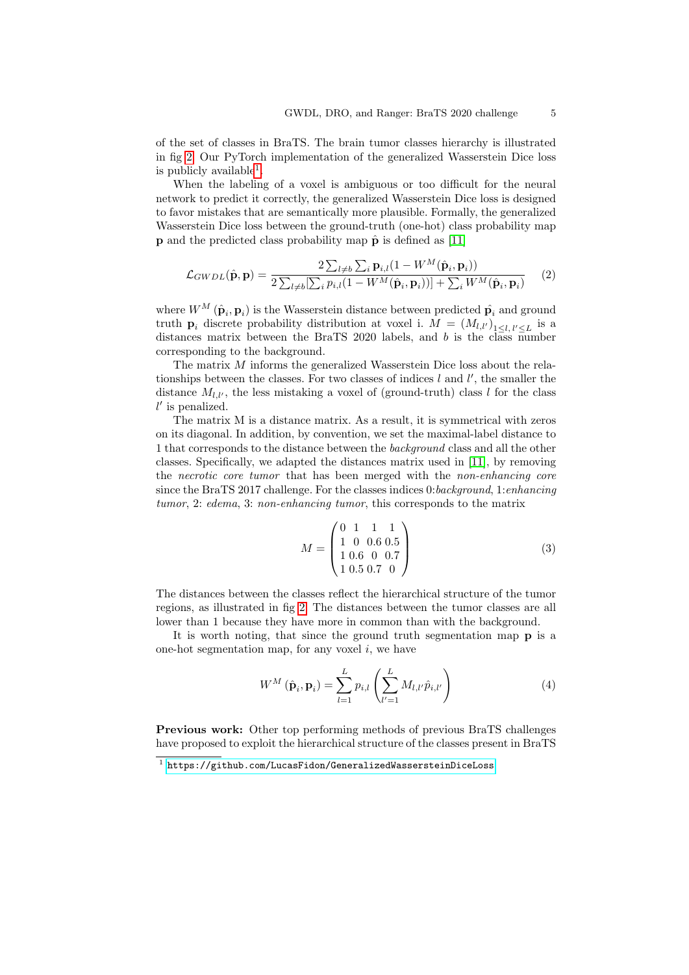of the set of classes in BraTS. The brain tumor classes hierarchy is illustrated in fig [2.](#page-3-1) Our PyTorch implementation of the generalized Wasserstein Dice loss is publicly available<sup>[1](#page-4-0)</sup>.

When the labeling of a voxel is ambiguous or too difficult for the neural network to predict it correctly, the generalized Wasserstein Dice loss is designed to favor mistakes that are semantically more plausible. Formally, the generalized Wasserstein Dice loss between the ground-truth (one-hot) class probability map **p** and the predicted class probability map  $\hat{\mathbf{p}}$  is defined as [\[11\]](#page-13-6)

$$
\mathcal{L}_{GWDL}(\hat{\mathbf{p}}, \mathbf{p}) = \frac{2 \sum_{l \neq b} \sum_{i} \mathbf{p}_{i,l} (1 - W^M(\hat{\mathbf{p}}_i, \mathbf{p}_i))}{2 \sum_{l \neq b} [\sum_{i} p_{i,l} (1 - W^M(\hat{\mathbf{p}}_i, \mathbf{p}_i))] + \sum_{i} W^M(\hat{\mathbf{p}}_i, \mathbf{p}_i)} \tag{2}
$$

where  $W^M\left(\hat{\mathbf{p}}_i, \mathbf{p}_i\right)$  is the Wasserstein distance between predicted  $\hat{\mathbf{p}}_i$  and ground truth  $\mathbf{p}_i$  discrete probability distribution at voxel i.  $M = (M_{l,l'})_{1 \leq l,l' \leq L}$  is a distances matrix between the BraTS 2020 labels, and b is the class number corresponding to the background.

The matrix M informs the generalized Wasserstein Dice loss about the relationships between the classes. For two classes of indices  $l$  and  $l'$ , the smaller the distance  $M_{l,l'}$ , the less mistaking a voxel of (ground-truth) class l for the class  $l'$  is penalized.

The matrix M is a distance matrix. As a result, it is symmetrical with zeros on its diagonal. In addition, by convention, we set the maximal-label distance to 1 that corresponds to the distance between the background class and all the other classes. Specifically, we adapted the distances matrix used in [\[11\]](#page-13-6), by removing the necrotic core tumor that has been merged with the non-enhancing core since the BraTS 2017 challenge. For the classes indices 0: background, 1: enhancing tumor, 2: edema, 3: non-enhancing tumor, this corresponds to the matrix

$$
M = \begin{pmatrix} 0 & 1 & 1 & 1 \\ 1 & 0 & 0.6 & 0.5 \\ 1 & 0.6 & 0 & 0.7 \\ 1 & 0.5 & 0.7 & 0 \end{pmatrix}
$$
 (3)

The distances between the classes reflect the hierarchical structure of the tumor regions, as illustrated in fig [2.](#page-3-1) The distances between the tumor classes are all lower than 1 because they have more in common than with the background.

It is worth noting, that since the ground truth segmentation map p is a one-hot segmentation map, for any voxel  $i$ , we have

$$
W^{M}(\hat{\mathbf{p}}_{i}, \mathbf{p}_{i}) = \sum_{l=1}^{L} p_{i,l} \left( \sum_{l'=1}^{L} M_{l,l'} \hat{p}_{i,l'} \right)
$$
(4)

Previous work: Other top performing methods of previous BraTS challenges have proposed to exploit the hierarchical structure of the classes present in BraTS

<span id="page-4-0"></span> $^{\rm 1}$  <https://github.com/LucasFidon/GeneralizedWassersteinDiceLoss>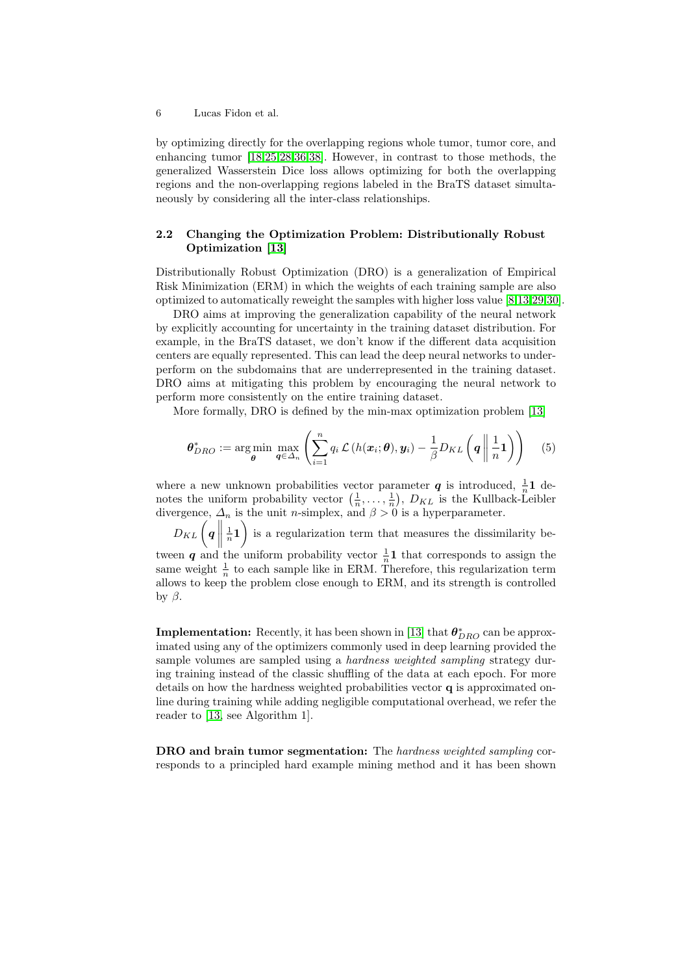by optimizing directly for the overlapping regions whole tumor, tumor core, and enhancing tumor [\[18](#page-13-8)[,25,](#page-14-7)[28,](#page-14-8)[36](#page-15-0)[,38\]](#page-15-2). However, in contrast to those methods, the generalized Wasserstein Dice loss allows optimizing for both the overlapping regions and the non-overlapping regions labeled in the BraTS dataset simultaneously by considering all the inter-class relationships.

## <span id="page-5-0"></span>2.2 Changing the Optimization Problem: Distributionally Robust Optimization [\[13\]](#page-13-7)

Distributionally Robust Optimization (DRO) is a generalization of Empirical Risk Minimization (ERM) in which the weights of each training sample are also optimized to automatically reweight the samples with higher loss value [\[8](#page-13-9)[,13,](#page-13-7)[29,](#page-14-9)[30\]](#page-14-10).

DRO aims at improving the generalization capability of the neural network by explicitly accounting for uncertainty in the training dataset distribution. For example, in the BraTS dataset, we don't know if the different data acquisition centers are equally represented. This can lead the deep neural networks to underperform on the subdomains that are underrepresented in the training dataset. DRO aims at mitigating this problem by encouraging the neural network to perform more consistently on the entire training dataset.

More formally, DRO is defined by the min-max optimization problem [\[13\]](#page-13-7)

$$
\boldsymbol{\theta}_{DRO}^* := \arg\min_{\boldsymbol{\theta}} \max_{\boldsymbol{q} \in \Delta_n} \left( \sum_{i=1}^n q_i \mathcal{L}\left(h(\boldsymbol{x}_i; \boldsymbol{\theta}), \boldsymbol{y}_i\right) - \frac{1}{\beta} D_{KL} \left(\boldsymbol{q} \middle| \frac{1}{n} \mathbf{1}\right) \right) \tag{5}
$$

where a new unknown probabilities vector parameter q is introduced,  $\frac{1}{n}$  dewhere a new unknown probability vector  $(\frac{1}{n}, \ldots, \frac{1}{n})$ ,  $D_{KL}$  is the Kullback-Leibler divergence,  $\Delta_n$  is the unit *n*-simplex, and  $\beta > 0$  is a hyperparameter.

 $D_{KL}\left(\boldsymbol{q}\,\right\|$  $\left(\frac{1}{n}\mathbf{1}\right)$  is a regularization term that measures the dissimilarity between q and the uniform probability vector  $\frac{1}{n}$ **1** that corresponds to assign the same weight  $\frac{1}{n}$  to each sample like in ERM. Therefore, this regularization term allows to keep the problem close enough to ERM, and its strength is controlled by β.

**Implementation:** Recently, it has been shown in [\[13\]](#page-13-7) that  $\boldsymbol{\theta}_{DRO}^{*}$  can be approximated using any of the optimizers commonly used in deep learning provided the sample volumes are sampled using a hardness weighted sampling strategy during training instead of the classic shuffling of the data at each epoch. For more details on how the hardness weighted probabilities vector q is approximated online during training while adding negligible computational overhead, we refer the reader to [\[13,](#page-13-7) see Algorithm 1].

DRO and brain tumor segmentation: The hardness weighted sampling corresponds to a principled hard example mining method and it has been shown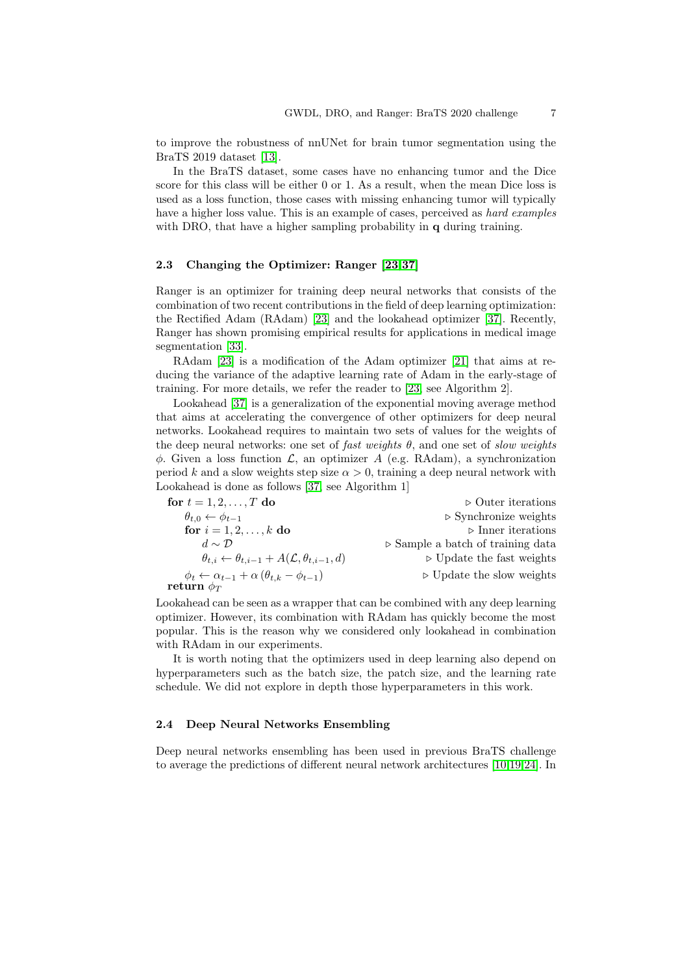to improve the robustness of nnUNet for brain tumor segmentation using the BraTS 2019 dataset [\[13\]](#page-13-7).

In the BraTS dataset, some cases have no enhancing tumor and the Dice score for this class will be either 0 or 1. As a result, when the mean Dice loss is used as a loss function, those cases with missing enhancing tumor will typically have a higher loss value. This is an example of cases, perceived as hard examples with DRO, that have a higher sampling probability in q during training.

#### <span id="page-6-0"></span>2.3 Changing the Optimizer: Ranger [\[23](#page-14-6)[,37\]](#page-15-1)

Ranger is an optimizer for training deep neural networks that consists of the combination of two recent contributions in the field of deep learning optimization: the Rectified Adam (RAdam) [\[23\]](#page-14-6) and the lookahead optimizer [\[37\]](#page-15-1). Recently, Ranger has shown promising empirical results for applications in medical image segmentation [\[33\]](#page-14-11).

RAdam [\[23\]](#page-14-6) is a modification of the Adam optimizer [\[21\]](#page-14-5) that aims at reducing the variance of the adaptive learning rate of Adam in the early-stage of training. For more details, we refer the reader to [\[23,](#page-14-6) see Algorithm 2].

Lookahead [\[37\]](#page-15-1) is a generalization of the exponential moving average method that aims at accelerating the convergence of other optimizers for deep neural networks. Lookahead requires to maintain two sets of values for the weights of the deep neural networks: one set of fast weights  $\theta$ , and one set of slow weights  $\phi$ . Given a loss function  $\mathcal{L}$ , an optimizer A (e.g. RAdam), a synchronization period k and a slow weights step size  $\alpha > 0$ , training a deep neural network with Lookahead is done as follows [\[37,](#page-15-1) see Algorithm 1]

| for $t = 1, 2, \ldots, T$ do                                                       | $\triangleright$ Outer iterations                |
|------------------------------------------------------------------------------------|--------------------------------------------------|
| $\theta_{t,0} \leftarrow \phi_{t-1}$                                               | $\triangleright$ Synchronize weights             |
| for $i = 1, 2, , k$ do                                                             | $\triangleright$ Inner iterations                |
| $d \sim \mathcal{D}$                                                               | $\triangleright$ Sample a batch of training data |
| $\theta_{t,i} \leftarrow \theta_{t,i-1} + A(\mathcal{L}, \theta_{t,i-1}, d)$       | $\triangleright$ Update the fast weights         |
| $\phi_t \leftarrow \alpha_{t-1} + \alpha \left( \theta_{t,k} - \phi_{t-1} \right)$ | $\triangleright$ Update the slow weights         |
| ${\rm return}\,\, \phi_T$                                                          |                                                  |

Lookahead can be seen as a wrapper that can be combined with any deep learning optimizer. However, its combination with RAdam has quickly become the most popular. This is the reason why we considered only lookahead in combination with RAdam in our experiments.

It is worth noting that the optimizers used in deep learning also depend on hyperparameters such as the batch size, the patch size, and the learning rate schedule. We did not explore in depth those hyperparameters in this work.

#### 2.4 Deep Neural Networks Ensembling

Deep neural networks ensembling has been used in previous BraTS challenge to average the predictions of different neural network architectures [\[10,](#page-13-10)[19,](#page-14-12)[24\]](#page-14-13). In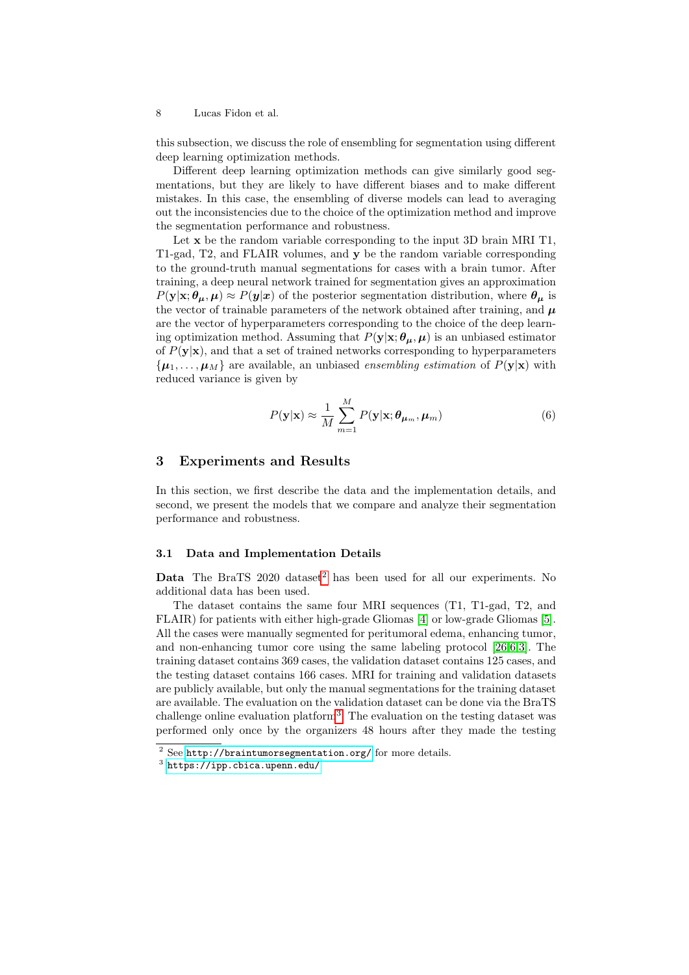this subsection, we discuss the role of ensembling for segmentation using different deep learning optimization methods.

Different deep learning optimization methods can give similarly good segmentations, but they are likely to have different biases and to make different mistakes. In this case, the ensembling of diverse models can lead to averaging out the inconsistencies due to the choice of the optimization method and improve the segmentation performance and robustness.

Let x be the random variable corresponding to the input 3D brain MRI T1, T1-gad, T2, and FLAIR volumes, and y be the random variable corresponding to the ground-truth manual segmentations for cases with a brain tumor. After training, a deep neural network trained for segmentation gives an approximation  $P(\mathbf{y}|\mathbf{x}; \theta_{\mu}, \mu) \approx P(\mathbf{y}|\mathbf{x})$  of the posterior segmentation distribution, where  $\theta_{\mu}$  is the vector of trainable parameters of the network obtained after training, and  $\mu$ are the vector of hyperparameters corresponding to the choice of the deep learning optimization method. Assuming that  $P(y|x; \theta_{\mu}, \mu)$  is an unbiased estimator of  $P(y|x)$ , and that a set of trained networks corresponding to hyperparameters  ${\mu_1, \ldots, \mu_M}$  are available, an unbiased ensembling estimation of  $P(y|x)$  with reduced variance is given by

$$
P(\mathbf{y}|\mathbf{x}) \approx \frac{1}{M} \sum_{m=1}^{M} P(\mathbf{y}|\mathbf{x}; \boldsymbol{\theta}_{\mu_m}, \mu_m)
$$
(6)

#### 3 Experiments and Results

In this section, we first describe the data and the implementation details, and second, we present the models that we compare and analyze their segmentation performance and robustness.

#### 3.1 Data and Implementation Details

**Data** The BraTS [2](#page-7-0)020 dataset<sup>2</sup> has been used for all our experiments. No additional data has been used.

The dataset contains the same four MRI sequences (T1, T1-gad, T2, and FLAIR) for patients with either high-grade Gliomas [\[4\]](#page-13-11) or low-grade Gliomas [\[5\]](#page-13-12). All the cases were manually segmented for peritumoral edema, enhancing tumor, and non-enhancing tumor core using the same labeling protocol [\[26,](#page-14-0)[6,](#page-13-0)[3\]](#page-12-2). The training dataset contains 369 cases, the validation dataset contains 125 cases, and the testing dataset contains 166 cases. MRI for training and validation datasets are publicly available, but only the manual segmentations for the training dataset are available. The evaluation on the validation dataset can be done via the BraTS challenge online evaluation platform<sup>[3](#page-7-1)</sup>. The evaluation on the testing dataset was performed only once by the organizers 48 hours after they made the testing

<span id="page-7-0"></span><sup>2</sup> See <http://braintumorsegmentation.org/> for more details.

<span id="page-7-1"></span> $^3$  <https://ipp.cbica.upenn.edu/>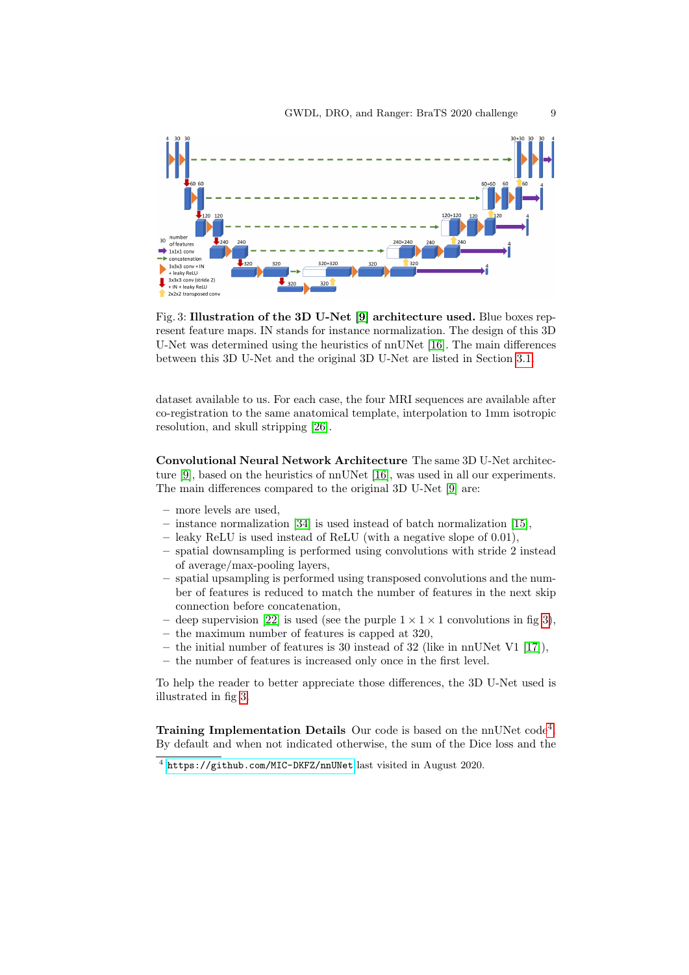<span id="page-8-1"></span>

Fig. 3: Illustration of the 3D U-Net [\[9\]](#page-13-5) architecture used. Blue boxes represent feature maps. IN stands for instance normalization. The design of this 3D U-Net was determined using the heuristics of nnUNet [\[16\]](#page-13-4). The main differences between this 3D U-Net and the original 3D U-Net are listed in Section [3.1.](#page-8-0)

dataset available to us. For each case, the four MRI sequences are available after co-registration to the same anatomical template, interpolation to 1mm isotropic resolution, and skull stripping [\[26\]](#page-14-0).

<span id="page-8-0"></span>Convolutional Neural Network Architecture The same 3D U-Net architecture [\[9\]](#page-13-5), based on the heuristics of nnUNet [\[16\]](#page-13-4), was used in all our experiments. The main differences compared to the original 3D U-Net [\[9\]](#page-13-5) are:

- more levels are used,
- instance normalization [\[34\]](#page-14-14) is used instead of batch normalization [\[15\]](#page-13-13),
- leaky ReLU is used instead of ReLU (with a negative slope of 0.01),
- spatial downsampling is performed using convolutions with stride 2 instead of average/max-pooling layers,
- spatial upsampling is performed using transposed convolutions and the number of features is reduced to match the number of features in the next skip connection before concatenation,
- deep supervision [\[22\]](#page-14-15) is used (see the purple  $1 \times 1 \times 1$  convolutions in fig [3\)](#page-8-1),
- the maximum number of features is capped at 320,
- the initial number of features is 30 instead of 32 (like in nnUNet V1 [\[17\]](#page-13-14)),
- the number of features is increased only once in the first level.

To help the reader to better appreciate those differences, the 3D U-Net used is illustrated in fig [3.](#page-8-1)

Training Implementation Details Our code is based on the nnUNet code<sup>[4](#page-8-2)</sup>. By default and when not indicated otherwise, the sum of the Dice loss and the

<span id="page-8-2"></span><sup>4</sup> <https://github.com/MIC-DKFZ/nnUNet> last visited in August 2020.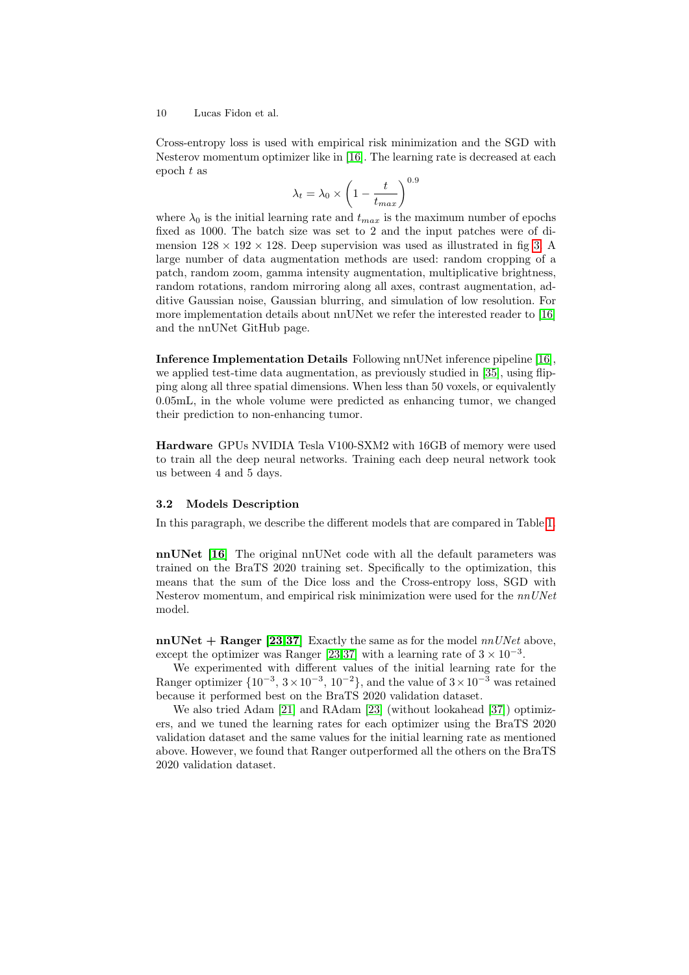Cross-entropy loss is used with empirical risk minimization and the SGD with Nesterov momentum optimizer like in [\[16\]](#page-13-4). The learning rate is decreased at each epoch t as

$$
\lambda_t = \lambda_0 \times \left(1 - \frac{t}{t_{max}}\right)^{0.9}
$$

where  $\lambda_0$  is the initial learning rate and  $t_{max}$  is the maximum number of epochs fixed as 1000. The batch size was set to 2 and the input patches were of dimension  $128 \times 192 \times 128$ . Deep supervision was used as illustrated in fig [3.](#page-8-1) A large number of data augmentation methods are used: random cropping of a patch, random zoom, gamma intensity augmentation, multiplicative brightness, random rotations, random mirroring along all axes, contrast augmentation, additive Gaussian noise, Gaussian blurring, and simulation of low resolution. For more implementation details about nnUNet we refer the interested reader to [\[16\]](#page-13-4) and the nnUNet GitHub page.

Inference Implementation Details Following nnUNet inference pipeline [\[16\]](#page-13-4), we applied test-time data augmentation, as previously studied in [\[35\]](#page-14-16), using flipping along all three spatial dimensions. When less than 50 voxels, or equivalently 0.05mL, in the whole volume were predicted as enhancing tumor, we changed their prediction to non-enhancing tumor.

Hardware GPUs NVIDIA Tesla V100-SXM2 with 16GB of memory were used to train all the deep neural networks. Training each deep neural network took us between 4 and 5 days.

#### 3.2 Models Description

In this paragraph, we describe the different models that are compared in Table [1.](#page-11-0)

nnUNet [\[16\]](#page-13-4) The original nnUNet code with all the default parameters was trained on the BraTS 2020 training set. Specifically to the optimization, this means that the sum of the Dice loss and the Cross-entropy loss, SGD with Nesterov momentum, and empirical risk minimization were used for the  $nnUNet$ model.

 $nnUNet + Rangeer [23,37]$  $nnUNet + Rangeer [23,37]$  $nnUNet + Rangeer [23,37]$  Exactly the same as for the model  $nnUNet$  above, except the optimizer was Ranger [\[23,](#page-14-6)[37\]](#page-15-1) with a learning rate of  $3 \times 10^{-3}$ .

We experimented with different values of the initial learning rate for the Ranger optimizer  $\{10^{-3}, 3 \times 10^{-3}, 10^{-2}\}$ , and the value of  $3 \times 10^{-3}$  was retained because it performed best on the BraTS 2020 validation dataset.

We also tried Adam [\[21\]](#page-14-5) and RAdam [\[23\]](#page-14-6) (without lookahead [\[37\]](#page-15-1)) optimizers, and we tuned the learning rates for each optimizer using the BraTS 2020 validation dataset and the same values for the initial learning rate as mentioned above. However, we found that Ranger outperformed all the others on the BraTS 2020 validation dataset.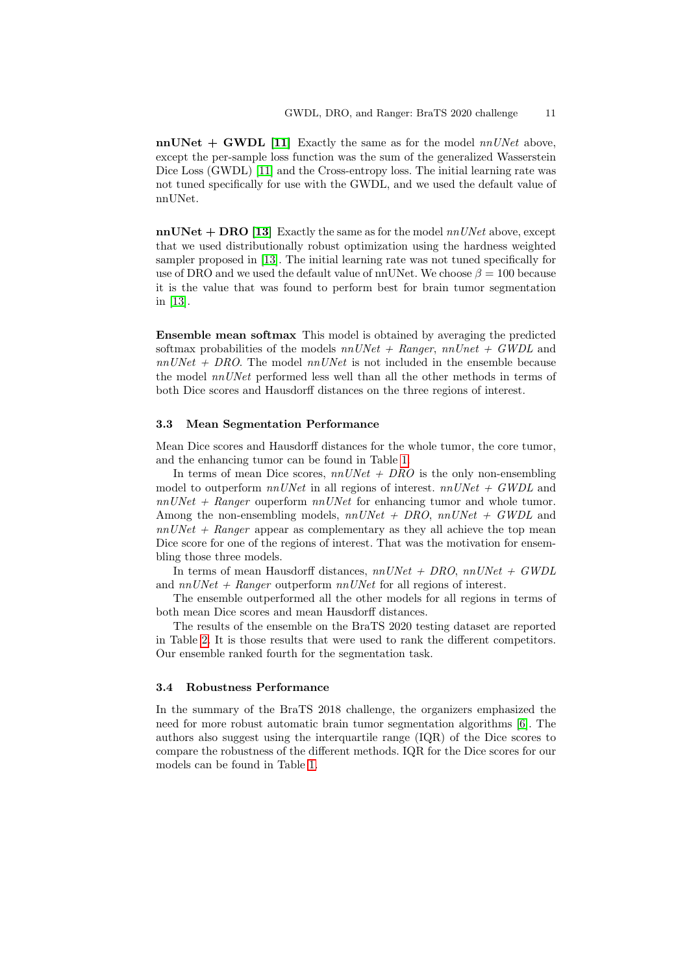$nnUNet + GWDL [11]$  $nnUNet + GWDL [11]$  Exactly the same as for the model  $nnUNet$  above, except the per-sample loss function was the sum of the generalized Wasserstein Dice Loss (GWDL) [\[11\]](#page-13-6) and the Cross-entropy loss. The initial learning rate was not tuned specifically for use with the GWDL, and we used the default value of nnUNet.

 $nnUNet + DRO$  [\[13\]](#page-13-7) Exactly the same as for the model  $nnUNet$  above, except that we used distributionally robust optimization using the hardness weighted sampler proposed in [\[13\]](#page-13-7). The initial learning rate was not tuned specifically for use of DRO and we used the default value of nnUNet. We choose  $\beta = 100$  because it is the value that was found to perform best for brain tumor segmentation in [\[13\]](#page-13-7).

Ensemble mean softmax This model is obtained by averaging the predicted softmax probabilities of the models  $nnUNet + Ranger$ ,  $nnUnet + GWDL$  and  $nnUNet + DRO$ . The model  $nnUNet$  is not included in the ensemble because the model  $nnUNet$  performed less well than all the other methods in terms of both Dice scores and Hausdorff distances on the three regions of interest.

#### 3.3 Mean Segmentation Performance

Mean Dice scores and Hausdorff distances for the whole tumor, the core tumor, and the enhancing tumor can be found in Table [1.](#page-11-0)

In terms of mean Dice scores,  $nnUNet + DRO$  is the only non-ensembling model to outperform  $nnUNet$  in all regions of interest.  $nnUNet + GWDL$  and  $nnUNet + Ranger$  ouperform  $nnUNet$  for enhancing tumor and whole tumor. Among the non-ensembling models,  $nnUNet + DRO$ ,  $nnUNet + GWDL$  and  $nnUNet + Ranger$  appear as complementary as they all achieve the top mean Dice score for one of the regions of interest. That was the motivation for ensembling those three models.

In terms of mean Hausdorff distances,  $nnUNet + DRO$ ,  $nnUNet + GWDL$ and  $nnUNet + Range$  outperform  $nnUNet$  for all regions of interest.

The ensemble outperformed all the other models for all regions in terms of both mean Dice scores and mean Hausdorff distances.

The results of the ensemble on the BraTS 2020 testing dataset are reported in Table [2.](#page-11-1) It is those results that were used to rank the different competitors. Our ensemble ranked fourth for the segmentation task.

#### 3.4 Robustness Performance

In the summary of the BraTS 2018 challenge, the organizers emphasized the need for more robust automatic brain tumor segmentation algorithms [\[6\]](#page-13-0). The authors also suggest using the interquartile range (IQR) of the Dice scores to compare the robustness of the different methods. IQR for the Dice scores for our models can be found in Table [1.](#page-11-0)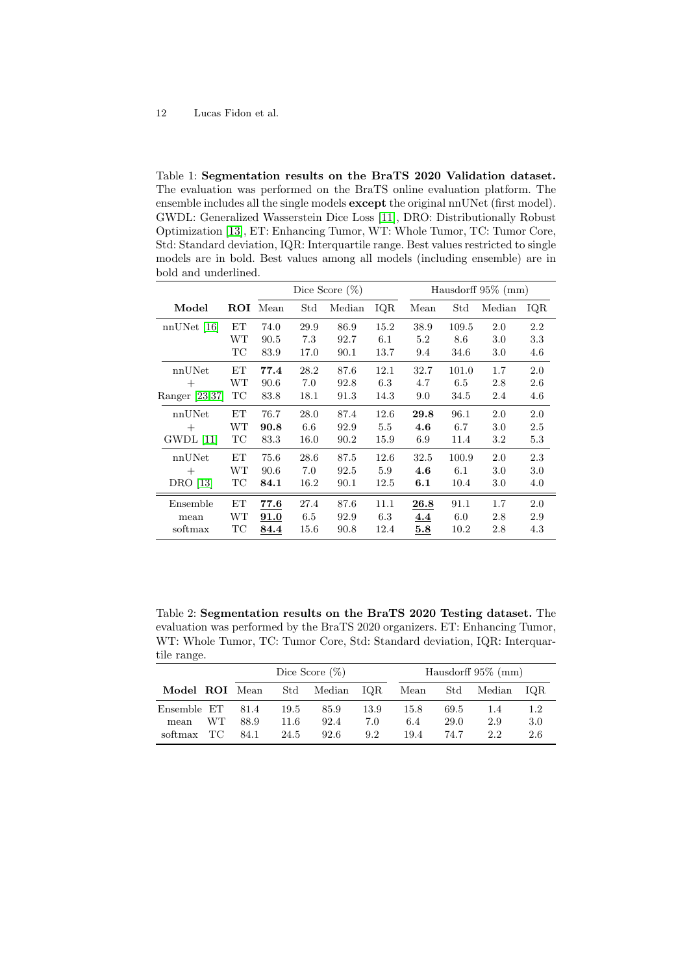<span id="page-11-0"></span>Table 1: Segmentation results on the BraTS 2020 Validation dataset. The evaluation was performed on the BraTS online evaluation platform. The ensemble includes all the single models **except** the original nnUNet (first model). GWDL: Generalized Wasserstein Dice Loss [\[11\]](#page-13-6), DRO: Distributionally Robust Optimization [\[13\]](#page-13-7), ET: Enhancing Tumor, WT: Whole Tumor, TC: Tumor Core, Std: Standard deviation, IQR: Interquartile range. Best values restricted to single models are in bold. Best values among all models (including ensemble) are in bold and underlined.

|                 |              | Dice Score $(\%)$ |                      |        | Hausdorff $95\%$ (mm) |      |       |         |     |
|-----------------|--------------|-------------------|----------------------|--------|-----------------------|------|-------|---------|-----|
| Model           | $_{\rm ROI}$ | Mean              | $\operatorname{Std}$ | Median | IQR                   | Mean | Std   | Median  | IQR |
| $nnUNet$ [16]   | EТ           | 74.0              | 29.9                 | 86.9   | 15.2                  | 38.9 | 109.5 | 2.0     | 2.2 |
|                 | WТ           | 90.5              | 7.3                  | 92.7   | 6.1                   | 5.2  | 8.6   | 3.0     | 3.3 |
|                 | ТC           | 83.9              | 17.0                 | 90.1   | 13.7                  | 9.4  | 34.6  | 3.0     | 4.6 |
| nnUNet          | EТ           | 77.4              | 28.2                 | 87.6   | 12.1                  | 32.7 | 101.0 | 1.7     | 2.0 |
| $^{+}$          | WТ           | 90.6              | 7.0                  | 92.8   | 6.3                   | 4.7  | 6.5   | 2.8     | 2.6 |
| Ranger [23,37]  | TC           | 83.8              | 18.1                 | 91.3   | 14.3                  | 9.0  | 34.5  | 2.4     | 4.6 |
| nnUNet          | EΤ           | 76.7              | 28.0                 | 87.4   | 12.6                  | 29.8 | 96.1  | 2.0     | 2.0 |
| $^{+}$          | WТ           | 90.8              | 6.6                  | 92.9   | 5.5                   | 4.6  | 6.7   | 3.0     | 2.5 |
| GWDL [11]       | TС           | 83.3              | 16.0                 | 90.2   | 15.9                  | 6.9  | 11.4  | 3.2     | 5.3 |
| nnUNet          | EТ           | 75.6              | 28.6                 | 87.5   | 12.6                  | 32.5 | 100.9 | 2.0     | 2.3 |
| $^{+}$          | WТ           | 90.6              | 7.0                  | 92.5   | 5.9                   | 4.6  | 6.1   | 3.0     | 3.0 |
| <b>DRO</b> [13] | TС           | 84.1              | 16.2                 | 90.1   | 12.5                  | 6.1  | 10.4  | $3.0\,$ | 4.0 |
| Ensemble        | EΤ           | 77.6              | 27.4                 | 87.6   | 11.1                  | 26.8 | 91.1  | 1.7     | 2.0 |
| mean            | WТ           | 91.0              | 6.5                  | 92.9   | 6.3                   | 4.4  | 6.0   | 2.8     | 2.9 |
| softmax         | TС           | 84.4              | 15.6                 | 90.8   | 12.4                  | 5.8  | 10.2  | 2.8     | 4.3 |

<span id="page-11-1"></span>Table 2: Segmentation results on the BraTS 2020 Testing dataset. The evaluation was performed by the BraTS 2020 organizers. ET: Enhancing Tumor, WT: Whole Tumor, TC: Tumor Core, Std: Standard deviation, IQR: Interquartile range.

|                |     | Dice Score $(\%)$ |      |                |      | Hausdorff $95\%$ (mm) |      |        |       |
|----------------|-----|-------------------|------|----------------|------|-----------------------|------|--------|-------|
| Model ROI Mean |     |                   |      | Std Median IQR |      | Mean                  | Std  | Median | TO R. |
| Ensemble ET    |     | 81.4              | 19.5 | 85.9           | 13.9 | 15.8                  | 69.5 | 1.4    | 1.2   |
| mean           | WT. | 88.9              | 11.6 | 92.4           | 7.0  | 6.4                   | 29.0 | 2.9    | 3.0   |
| softmax TC     |     | 84.1              | 24.5 | 92.6           | 9.2  | 19.4                  | 74.7 | 2.2    | 2.6   |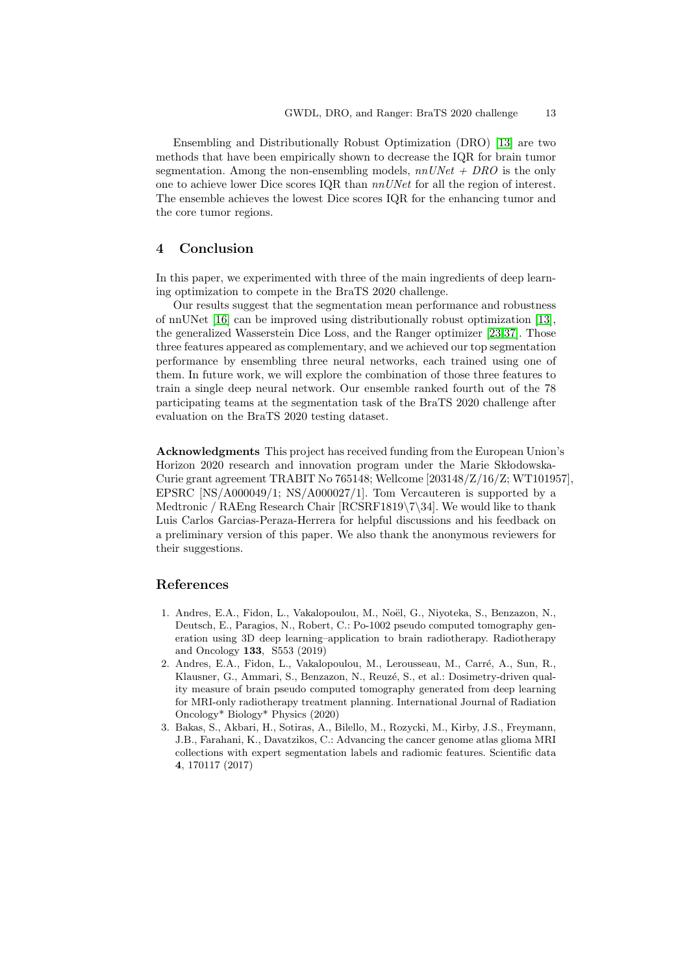Ensembling and Distributionally Robust Optimization (DRO) [\[13\]](#page-13-7) are two methods that have been empirically shown to decrease the IQR for brain tumor segmentation. Among the non-ensembling models,  $nnUNet + DRO$  is the only one to achieve lower Dice scores IQR than  $nnUNet$  for all the region of interest. The ensemble achieves the lowest Dice scores IQR for the enhancing tumor and the core tumor regions.

## 4 Conclusion

In this paper, we experimented with three of the main ingredients of deep learning optimization to compete in the BraTS 2020 challenge.

Our results suggest that the segmentation mean performance and robustness of nnUNet [\[16\]](#page-13-4) can be improved using distributionally robust optimization [\[13\]](#page-13-7), the generalized Wasserstein Dice Loss, and the Ranger optimizer [\[23,](#page-14-6)[37\]](#page-15-1). Those three features appeared as complementary, and we achieved our top segmentation performance by ensembling three neural networks, each trained using one of them. In future work, we will explore the combination of those three features to train a single deep neural network. Our ensemble ranked fourth out of the 78 participating teams at the segmentation task of the BraTS 2020 challenge after evaluation on the BraTS 2020 testing dataset.

Acknowledgments This project has received funding from the European Union's Horizon 2020 research and innovation program under the Marie Skłodowska-Curie grant agreement TRABIT No 765148; Wellcome [203148/Z/16/Z; WT101957], EPSRC [NS/A000049/1; NS/A000027/1]. Tom Vercauteren is supported by a Medtronic / RAEng Research Chair [RCSRF1819\7\34]. We would like to thank Luis Carlos Garcias-Peraza-Herrera for helpful discussions and his feedback on a preliminary version of this paper. We also thank the anonymous reviewers for their suggestions.

### References

- <span id="page-12-0"></span>1. Andres, E.A., Fidon, L., Vakalopoulou, M., Noël, G., Niyoteka, S., Benzazon, N., Deutsch, E., Paragios, N., Robert, C.: Po-1002 pseudo computed tomography generation using 3D deep learning–application to brain radiotherapy. Radiotherapy and Oncology 133, S553 (2019)
- <span id="page-12-1"></span>2. Andres, E.A., Fidon, L., Vakalopoulou, M., Lerousseau, M., Carré, A., Sun, R., Klausner, G., Ammari, S., Benzazon, N., Reuzé, S., et al.: Dosimetry-driven quality measure of brain pseudo computed tomography generated from deep learning for MRI-only radiotherapy treatment planning. International Journal of Radiation Oncology\* Biology\* Physics (2020)
- <span id="page-12-2"></span>3. Bakas, S., Akbari, H., Sotiras, A., Bilello, M., Rozycki, M., Kirby, J.S., Freymann, J.B., Farahani, K., Davatzikos, C.: Advancing the cancer genome atlas glioma MRI collections with expert segmentation labels and radiomic features. Scientific data 4, 170117 (2017)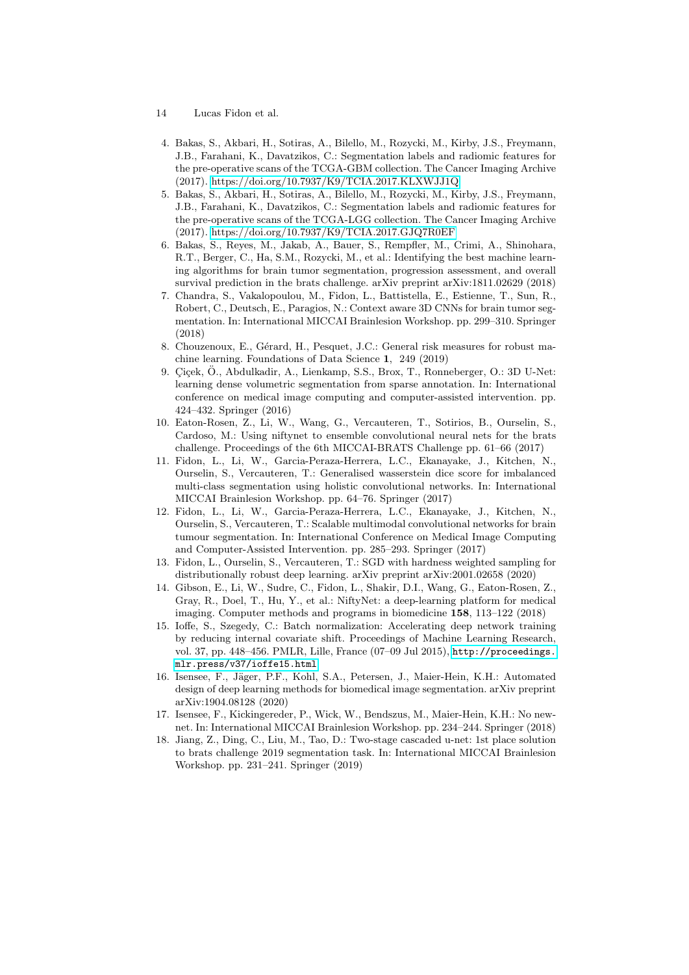- 14 Lucas Fidon et al.
- <span id="page-13-11"></span>4. Bakas, S., Akbari, H., Sotiras, A., Bilello, M., Rozycki, M., Kirby, J.S., Freymann, J.B., Farahani, K., Davatzikos, C.: Segmentation labels and radiomic features for the pre-operative scans of the TCGA-GBM collection. The Cancer Imaging Archive (2017).<https://doi.org/10.7937/K9/TCIA.2017.KLXWJJ1Q>
- <span id="page-13-12"></span>5. Bakas, S., Akbari, H., Sotiras, A., Bilello, M., Rozycki, M., Kirby, J.S., Freymann, J.B., Farahani, K., Davatzikos, C.: Segmentation labels and radiomic features for the pre-operative scans of the TCGA-LGG collection. The Cancer Imaging Archive (2017).<https://doi.org/10.7937/K9/TCIA.2017.GJQ7R0EF>
- <span id="page-13-0"></span>6. Bakas, S., Reyes, M., Jakab, A., Bauer, S., Rempfler, M., Crimi, A., Shinohara, R.T., Berger, C., Ha, S.M., Rozycki, M., et al.: Identifying the best machine learning algorithms for brain tumor segmentation, progression assessment, and overall survival prediction in the brats challenge. arXiv preprint arXiv:1811.02629 (2018)
- <span id="page-13-1"></span>7. Chandra, S., Vakalopoulou, M., Fidon, L., Battistella, E., Estienne, T., Sun, R., Robert, C., Deutsch, E., Paragios, N.: Context aware 3D CNNs for brain tumor segmentation. In: International MICCAI Brainlesion Workshop. pp. 299–310. Springer (2018)
- <span id="page-13-9"></span>8. Chouzenoux, E., Gérard, H., Pesquet, J.C.: General risk measures for robust machine learning. Foundations of Data Science 1, 249 (2019)
- <span id="page-13-5"></span>9. Çiçek, Ö., Abdulkadir, A., Lienkamp, S.S., Brox, T., Ronneberger, O.: 3D U-Net: learning dense volumetric segmentation from sparse annotation. In: International conference on medical image computing and computer-assisted intervention. pp. 424–432. Springer (2016)
- <span id="page-13-10"></span>10. Eaton-Rosen, Z., Li, W., Wang, G., Vercauteren, T., Sotirios, B., Ourselin, S., Cardoso, M.: Using niftynet to ensemble convolutional neural nets for the brats challenge. Proceedings of the 6th MICCAI-BRATS Challenge pp. 61–66 (2017)
- <span id="page-13-6"></span>11. Fidon, L., Li, W., Garcia-Peraza-Herrera, L.C., Ekanayake, J., Kitchen, N., Ourselin, S., Vercauteren, T.: Generalised wasserstein dice score for imbalanced multi-class segmentation using holistic convolutional networks. In: International MICCAI Brainlesion Workshop. pp. 64–76. Springer (2017)
- <span id="page-13-2"></span>12. Fidon, L., Li, W., Garcia-Peraza-Herrera, L.C., Ekanayake, J., Kitchen, N., Ourselin, S., Vercauteren, T.: Scalable multimodal convolutional networks for brain tumour segmentation. In: International Conference on Medical Image Computing and Computer-Assisted Intervention. pp. 285–293. Springer (2017)
- <span id="page-13-7"></span>13. Fidon, L., Ourselin, S., Vercauteren, T.: SGD with hardness weighted sampling for distributionally robust deep learning. arXiv preprint arXiv:2001.02658 (2020)
- <span id="page-13-3"></span>14. Gibson, E., Li, W., Sudre, C., Fidon, L., Shakir, D.I., Wang, G., Eaton-Rosen, Z., Gray, R., Doel, T., Hu, Y., et al.: NiftyNet: a deep-learning platform for medical imaging. Computer methods and programs in biomedicine 158, 113–122 (2018)
- <span id="page-13-13"></span>15. Ioffe, S., Szegedy, C.: Batch normalization: Accelerating deep network training by reducing internal covariate shift. Proceedings of Machine Learning Research, vol. 37, pp. 448–456. PMLR, Lille, France (07–09 Jul 2015), [http://proceedings.](http://proceedings.mlr.press/v37/ioffe15.html) [mlr.press/v37/ioffe15.html](http://proceedings.mlr.press/v37/ioffe15.html)
- <span id="page-13-4"></span>16. Isensee, F., Jäger, P.F., Kohl, S.A., Petersen, J., Maier-Hein, K.H.: Automated design of deep learning methods for biomedical image segmentation. arXiv preprint arXiv:1904.08128 (2020)
- <span id="page-13-14"></span>17. Isensee, F., Kickingereder, P., Wick, W., Bendszus, M., Maier-Hein, K.H.: No newnet. In: International MICCAI Brainlesion Workshop. pp. 234–244. Springer (2018)
- <span id="page-13-8"></span>18. Jiang, Z., Ding, C., Liu, M., Tao, D.: Two-stage cascaded u-net: 1st place solution to brats challenge 2019 segmentation task. In: International MICCAI Brainlesion Workshop. pp. 231–241. Springer (2019)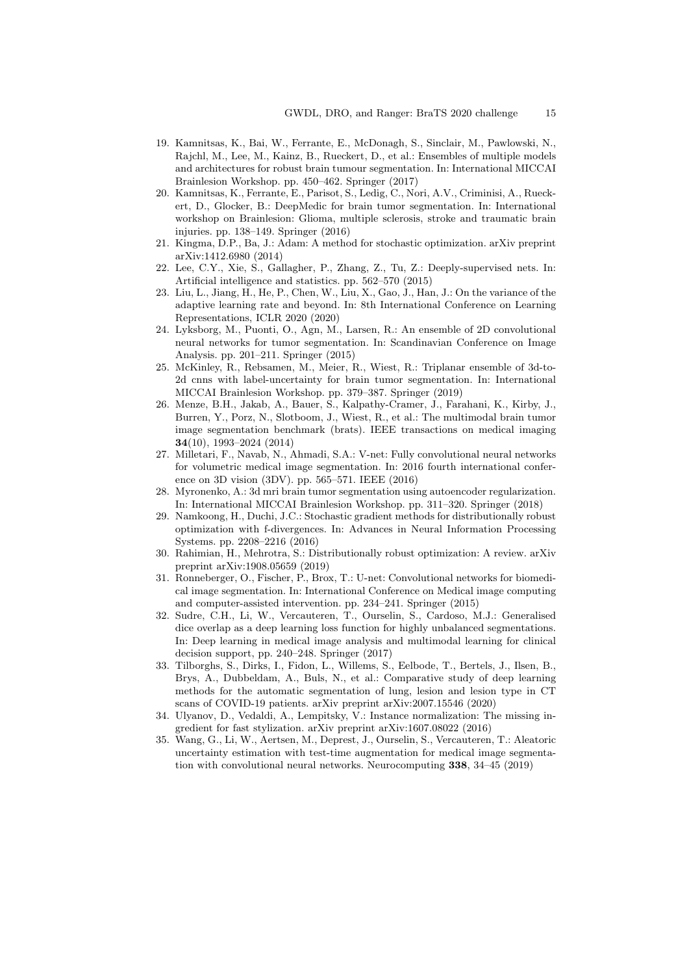- <span id="page-14-12"></span>19. Kamnitsas, K., Bai, W., Ferrante, E., McDonagh, S., Sinclair, M., Pawlowski, N., Rajchl, M., Lee, M., Kainz, B., Rueckert, D., et al.: Ensembles of multiple models and architectures for robust brain tumour segmentation. In: International MICCAI Brainlesion Workshop. pp. 450–462. Springer (2017)
- <span id="page-14-1"></span>20. Kamnitsas, K., Ferrante, E., Parisot, S., Ledig, C., Nori, A.V., Criminisi, A., Rueckert, D., Glocker, B.: DeepMedic for brain tumor segmentation. In: International workshop on Brainlesion: Glioma, multiple sclerosis, stroke and traumatic brain injuries. pp. 138–149. Springer (2016)
- <span id="page-14-5"></span>21. Kingma, D.P., Ba, J.: Adam: A method for stochastic optimization. arXiv preprint arXiv:1412.6980 (2014)
- <span id="page-14-15"></span>22. Lee, C.Y., Xie, S., Gallagher, P., Zhang, Z., Tu, Z.: Deeply-supervised nets. In: Artificial intelligence and statistics. pp. 562–570 (2015)
- <span id="page-14-6"></span>23. Liu, L., Jiang, H., He, P., Chen, W., Liu, X., Gao, J., Han, J.: On the variance of the adaptive learning rate and beyond. In: 8th International Conference on Learning Representations, ICLR 2020 (2020)
- <span id="page-14-13"></span>24. Lyksborg, M., Puonti, O., Agn, M., Larsen, R.: An ensemble of 2D convolutional neural networks for tumor segmentation. In: Scandinavian Conference on Image Analysis. pp. 201–211. Springer (2015)
- <span id="page-14-7"></span>25. McKinley, R., Rebsamen, M., Meier, R., Wiest, R.: Triplanar ensemble of 3d-to-2d cnns with label-uncertainty for brain tumor segmentation. In: International MICCAI Brainlesion Workshop. pp. 379–387. Springer (2019)
- <span id="page-14-0"></span>26. Menze, B.H., Jakab, A., Bauer, S., Kalpathy-Cramer, J., Farahani, K., Kirby, J., Burren, Y., Porz, N., Slotboom, J., Wiest, R., et al.: The multimodal brain tumor image segmentation benchmark (brats). IEEE transactions on medical imaging 34(10), 1993–2024 (2014)
- <span id="page-14-3"></span>27. Milletari, F., Navab, N., Ahmadi, S.A.: V-net: Fully convolutional neural networks for volumetric medical image segmentation. In: 2016 fourth international conference on 3D vision (3DV). pp. 565–571. IEEE (2016)
- <span id="page-14-8"></span>28. Myronenko, A.: 3d mri brain tumor segmentation using autoencoder regularization. In: International MICCAI Brainlesion Workshop. pp. 311–320. Springer (2018)
- <span id="page-14-9"></span>29. Namkoong, H., Duchi, J.C.: Stochastic gradient methods for distributionally robust optimization with f-divergences. In: Advances in Neural Information Processing Systems. pp. 2208–2216 (2016)
- <span id="page-14-10"></span>30. Rahimian, H., Mehrotra, S.: Distributionally robust optimization: A review. arXiv preprint arXiv:1908.05659 (2019)
- <span id="page-14-2"></span>31. Ronneberger, O., Fischer, P., Brox, T.: U-net: Convolutional networks for biomedical image segmentation. In: International Conference on Medical image computing and computer-assisted intervention. pp. 234–241. Springer (2015)
- <span id="page-14-4"></span>32. Sudre, C.H., Li, W., Vercauteren, T., Ourselin, S., Cardoso, M.J.: Generalised dice overlap as a deep learning loss function for highly unbalanced segmentations. In: Deep learning in medical image analysis and multimodal learning for clinical decision support, pp. 240–248. Springer (2017)
- <span id="page-14-11"></span>33. Tilborghs, S., Dirks, I., Fidon, L., Willems, S., Eelbode, T., Bertels, J., Ilsen, B., Brys, A., Dubbeldam, A., Buls, N., et al.: Comparative study of deep learning methods for the automatic segmentation of lung, lesion and lesion type in CT scans of COVID-19 patients. arXiv preprint arXiv:2007.15546 (2020)
- <span id="page-14-14"></span>34. Ulyanov, D., Vedaldi, A., Lempitsky, V.: Instance normalization: The missing ingredient for fast stylization. arXiv preprint arXiv:1607.08022 (2016)
- <span id="page-14-16"></span>35. Wang, G., Li, W., Aertsen, M., Deprest, J., Ourselin, S., Vercauteren, T.: Aleatoric uncertainty estimation with test-time augmentation for medical image segmentation with convolutional neural networks. Neurocomputing 338, 34–45 (2019)